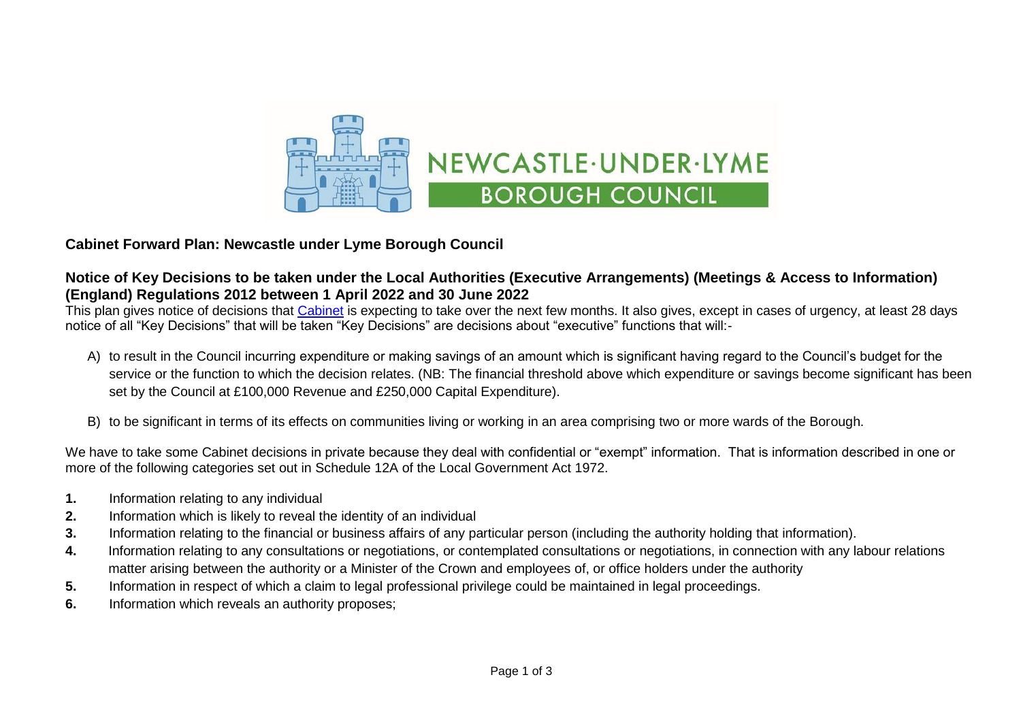

## **Cabinet Forward Plan: Newcastle under Lyme Borough Council**

## **Notice of Key Decisions to be taken under the Local Authorities (Executive Arrangements) (Meetings & Access to Information) (England) Regulations 2012 between 1 April 2022 and 30 June 2022**

This plan gives notice of decisions that [Cabinet](https://moderngov.newcastle-staffs.gov.uk/mgCommitteeDetails.aspx?ID=118) is expecting to take over the next few months. It also gives, except in cases of urgency, at least 28 days notice of all "Key Decisions" that will be taken "Key Decisions" are decisions about "executive" functions that will:-

- A) to result in the Council incurring expenditure or making savings of an amount which is significant having regard to the Council's budget for the service or the function to which the decision relates. (NB: The financial threshold above which expenditure or savings become significant has been set by the Council at £100,000 Revenue and £250,000 Capital Expenditure).
- B) to be significant in terms of its effects on communities living or working in an area comprising two or more wards of the Borough.

We have to take some Cabinet decisions in private because they deal with confidential or "exempt" information. That is information described in one or more of the following categories set out in Schedule 12A of the Local Government Act 1972.

- **1.** Information relating to any individual
- **2.** Information which is likely to reveal the identity of an individual
- **3.** Information relating to the financial or business affairs of any particular person (including the authority holding that information).
- **4.** Information relating to any consultations or negotiations, or contemplated consultations or negotiations, in connection with any labour relations matter arising between the authority or a Minister of the Crown and employees of, or office holders under the authority
- **5.** Information in respect of which a claim to legal professional privilege could be maintained in legal proceedings.
- **6.** Information which reveals an authority proposes;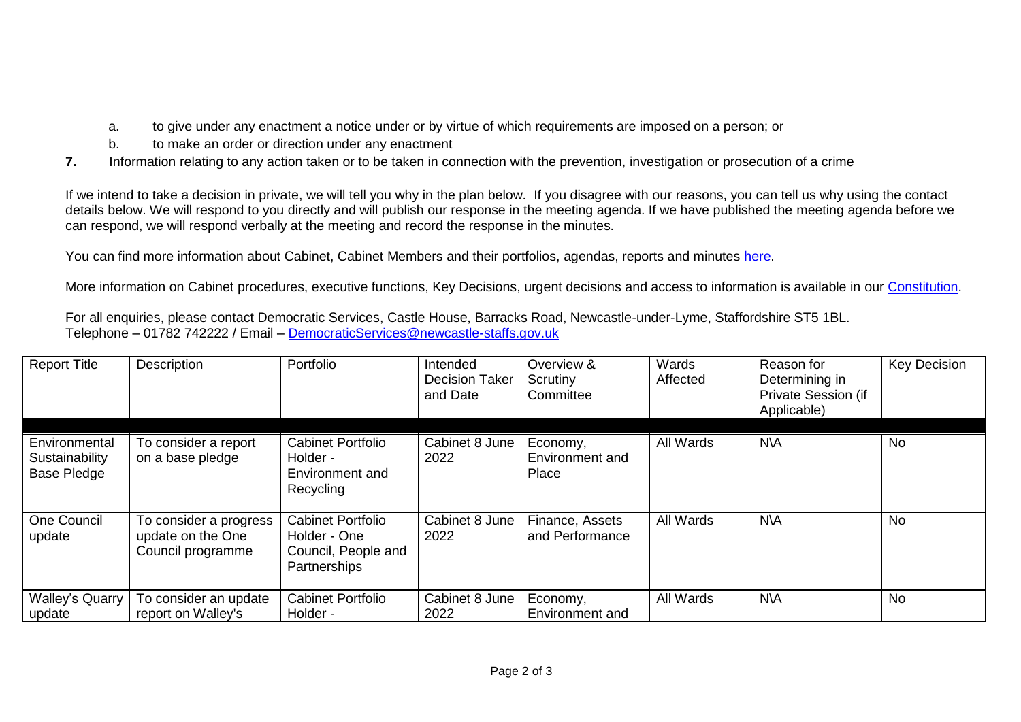- a. to give under any enactment a notice under or by virtue of which requirements are imposed on a person; or
- b. to make an order or direction under any enactment
- **7.** Information relating to any action taken or to be taken in connection with the prevention, investigation or prosecution of a crime

If we intend to take a decision in private, we will tell you why in the plan below. If you disagree with our reasons, you can tell us why using the contact details below. We will respond to you directly and will publish our response in the meeting agenda. If we have published the meeting agenda before we can respond, we will respond verbally at the meeting and record the response in the minutes.

You can find more information about Cabinet, Cabinet Members and their portfolios, agendas, reports and minutes [here.](https://moderngov.newcastle-staffs.gov.uk/mgCommitteeDetails.aspx?ID=118)

More information on Cabinet procedures, executive functions, Key Decisions, urgent decisions and access to information is available in our [Constitution.](https://moderngov.newcastle-staffs.gov.uk/ieListMeetings.aspx?CommitteeID=443&info=1&bcr=1)

For all enquiries, please contact Democratic Services, Castle House, Barracks Road, Newcastle-under-Lyme, Staffordshire ST5 1BL. Telephone – 01782 742222 / Email – [DemocraticServices@newcastle-staffs.gov.uk](mailto:DemocraticServices@newcastle-staffs.gov.uk)

| <b>Report Title</b>                                   | Description                                                      | Portfolio                                                                       | Intended<br><b>Decision Taker</b><br>and Date | Overview &<br>Scrutiny<br>Committee  | Wards<br>Affected | Reason for<br>Determining in<br>Private Session (if<br>Applicable) | <b>Key Decision</b> |
|-------------------------------------------------------|------------------------------------------------------------------|---------------------------------------------------------------------------------|-----------------------------------------------|--------------------------------------|-------------------|--------------------------------------------------------------------|---------------------|
| Environmental<br>Sustainability<br><b>Base Pledge</b> | To consider a report<br>on a base pledge                         | <b>Cabinet Portfolio</b><br>Holder -<br>Environment and<br>Recycling            | Cabinet 8 June<br>2022                        | Economy,<br>Environment and<br>Place | All Wards         | N\A                                                                | <b>No</b>           |
| One Council<br>update                                 | To consider a progress<br>update on the One<br>Council programme | <b>Cabinet Portfolio</b><br>Holder - One<br>Council, People and<br>Partnerships | Cabinet 8 June<br>2022                        | Finance, Assets<br>and Performance   | All Wards         | <b>N\A</b>                                                         | <b>No</b>           |
| <b>Walley's Quarry</b><br>update                      | To consider an update<br>report on Walley's                      | <b>Cabinet Portfolio</b><br>Holder -                                            | Cabinet 8 June<br>2022                        | Economy,<br>Environment and          | All Wards         | <b>N\A</b>                                                         | <b>No</b>           |